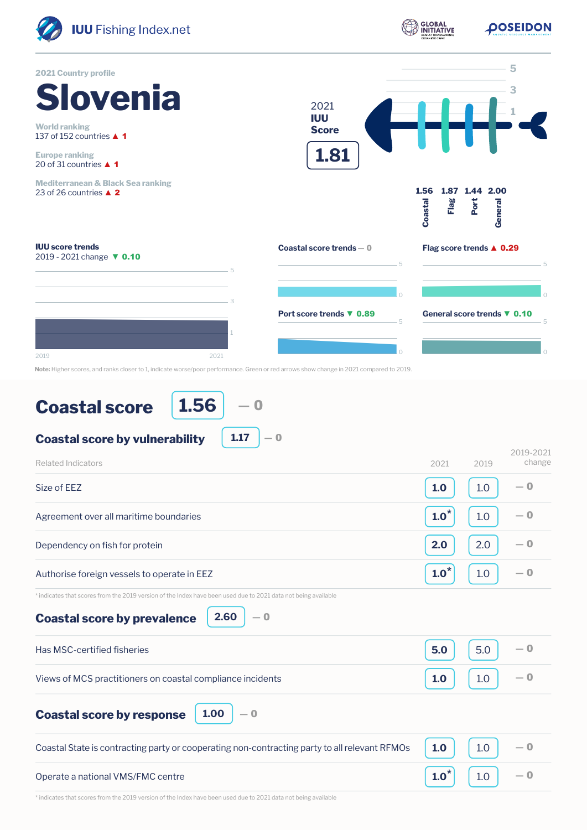

## **Coastal score**

**1.56** ― 0

**1.17**

― 0

**Coastal score by vulnerability**

| Related Indicators                                                                                                                                                   | 2021    | 2019 | 2019-2021<br>change |
|----------------------------------------------------------------------------------------------------------------------------------------------------------------------|---------|------|---------------------|
| Size of EEZ                                                                                                                                                          | 1.0     | 1.0  | — ი                 |
| Agreement over all maritime boundaries                                                                                                                               | $1.0^*$ | 1.0  | $-0$                |
| Dependency on fish for protein                                                                                                                                       | 2.0     | 2.0  | $-0$                |
| Authorise foreign vessels to operate in EEZ                                                                                                                          | $1.0^*$ | 1.0  | $-0$                |
| * indicates that scores from the 2019 version of the Index have been used due to 2021 data not being available<br>2.60<br>$-0$<br><b>Coastal score by prevalence</b> |         |      |                     |
| Has MSC-certified fisheries                                                                                                                                          | 5.0     | 5.0  | — 0                 |
| Views of MCS practitioners on coastal compliance incidents                                                                                                           | 1.0     | 1.0  | $-0$                |
| 1.00<br>$-0$<br><b>Coastal score by response</b>                                                                                                                     |         |      |                     |
| Coastal State is contracting party or cooperating non-contracting party to all relevant RFMOs                                                                        | 1.0     | 1.0  | $-0$                |
| Operate a national VMS/FMC centre                                                                                                                                    | $1.0^*$ | 1.0  | — 0                 |

\* indicates that scores from the 2019 version of the Index have been used due to 2021 data not being available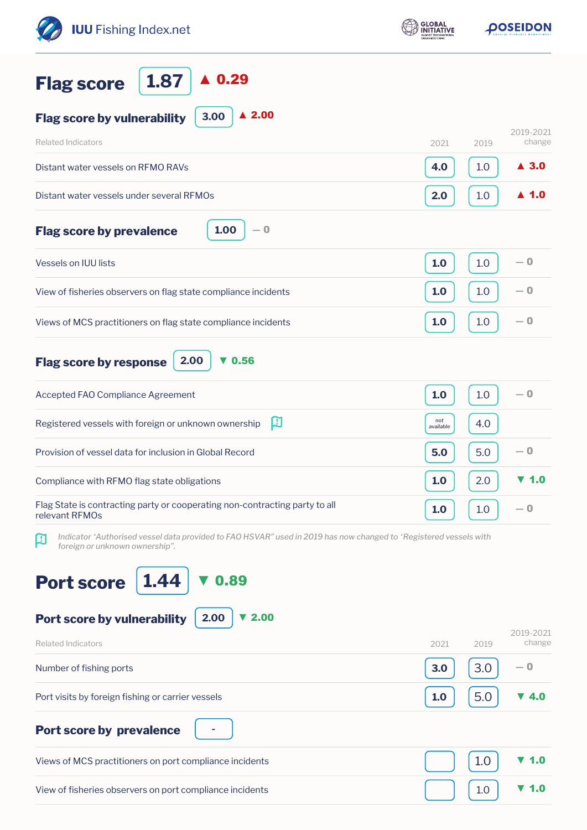| <b>IUU</b> Fishing Index.net                                                                                                                             | <b>GLOBAL</b><br>NITIATIVE | <b><i>DOSEIDON</i></b>      |  |
|----------------------------------------------------------------------------------------------------------------------------------------------------------|----------------------------|-----------------------------|--|
| $\blacktriangle$ 0.29<br>1.87<br><b>Flag score</b>                                                                                                       |                            |                             |  |
| $\triangle$ 2.00<br>3.00<br><b>Flag score by vulnerability</b>                                                                                           |                            |                             |  |
| <b>Related Indicators</b>                                                                                                                                | 2021                       | 2019-2021<br>change<br>2019 |  |
| Distant water vessels on RFMO RAVs                                                                                                                       | 4.0                        | $\blacktriangle$ 3.0<br>1.0 |  |
| Distant water vessels under several RFMOs                                                                                                                | 2.0                        | $\blacktriangle$ 1.0<br>1.0 |  |
| 1.00<br>$-0$<br><b>Flag score by prevalence</b>                                                                                                          |                            |                             |  |
| <b>Vessels on IUU lists</b>                                                                                                                              | 1.0                        | — 0<br>1.0                  |  |
| View of fisheries observers on flag state compliance incidents                                                                                           | 1.0                        | $-0$<br>1.0                 |  |
| Views of MCS practitioners on flag state compliance incidents                                                                                            | 1.0                        | — 0<br>1.0                  |  |
| 0.56<br>2.00<br><b>Flag score by response</b><br>v                                                                                                       |                            |                             |  |
| Accepted FAO Compliance Agreement                                                                                                                        | 1.0                        | $-0$<br>1.0                 |  |
| 口<br>Registered vessels with foreign or unknown ownership                                                                                                | not<br>available           | 4.0                         |  |
| Provision of vessel data for inclusion in Global Record                                                                                                  | 5.0                        | — 0<br>5.0                  |  |
| Compliance with RFMO flag state obligations                                                                                                              | 1.0                        | ▼ 1.0<br>2.0                |  |
| Flag State is contracting party or cooperating non-contracting party to all<br>relevant RFMOs                                                            | 1.0                        | — 0<br>1.0                  |  |
| Indicator 'Authorised vessel data provided to FAO HSVAR" used in 2019 has now changed to 'Registered vessels with<br>口<br>foreign or unknown ownership". |                            |                             |  |
| 0.89<br>1.44<br><b>Port score</b>                                                                                                                        |                            |                             |  |
| 2.00<br>Port score by vulnerability<br>2.00                                                                                                              |                            | 2019-2021                   |  |
| <b>Related Indicators</b>                                                                                                                                | 2021                       | change<br>2019<br>— 0       |  |
| Number of fishing ports                                                                                                                                  | 3.0                        | 3.0                         |  |
| Port visits by foreign fishing or carrier vessels                                                                                                        | 1.0                        | 5.0<br>▼ 4.0                |  |
| <b>Port score by prevalence</b>                                                                                                                          |                            |                             |  |
| Views of MCS practitioners on port compliance incidents                                                                                                  |                            | 1.0<br>1.0                  |  |
| View of fisheries observers on port compliance incidents                                                                                                 |                            | 1.0<br>1.0                  |  |